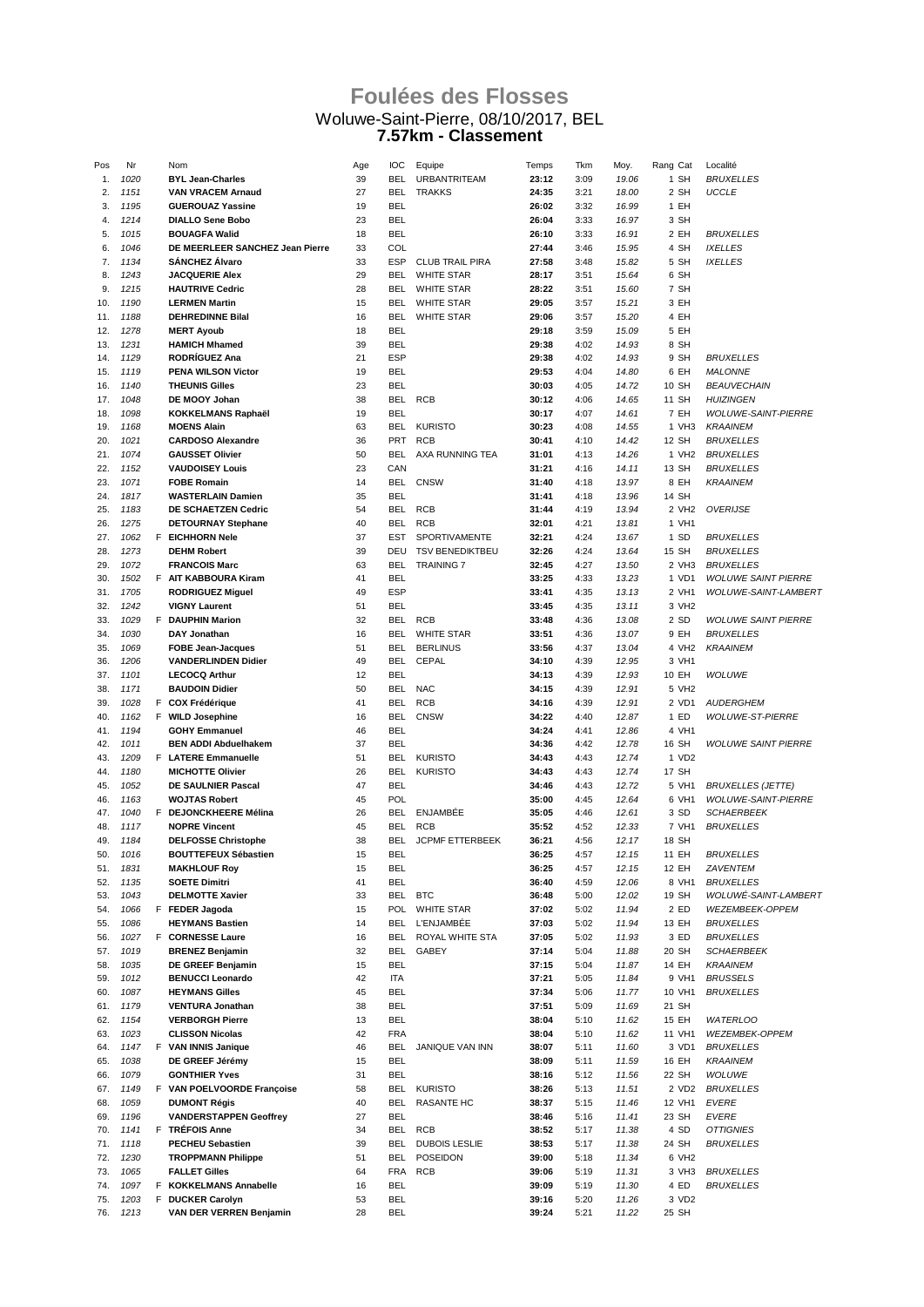## **Foulées des Flosses** Woluwe-Saint-Pierre, 08/10/2017, BEL **7.57km - Classement**

| Pos | Nr   | Nom                             | Age | IOC        | Equipe                 | Temps | Tkm  | Moy.  | Rang Cat          | Localité                   |
|-----|------|---------------------------------|-----|------------|------------------------|-------|------|-------|-------------------|----------------------------|
| 1.  | 1020 | <b>BYL Jean-Charles</b>         | 39  | <b>BEL</b> | <b>URBANTRITEAM</b>    | 23:12 | 3:09 | 19.06 | 1 SH              | <b>BRUXELLES</b>           |
| 2.  | 1151 | <b>VAN VRACEM Arnaud</b>        | 27  | BEL.       | <b>TRAKKS</b>          | 24:35 | 3:21 | 18.00 | 2 SH              | <b>UCCLE</b>               |
| 3.  | 1195 | <b>GUEROUAZ Yassine</b>         | 19  | <b>BEL</b> |                        | 26:02 | 3:32 | 16.99 | 1 EH              |                            |
|     | 1214 | <b>DIALLO Sene Bobo</b>         | 23  | <b>BEL</b> |                        | 26:04 | 3:33 | 16.97 |                   |                            |
| 4.  |      |                                 |     |            |                        |       |      |       | 3 SH              |                            |
| 5.  | 1015 | <b>BOUAGFA Walid</b>            | 18  | <b>BEL</b> |                        | 26:10 | 3:33 | 16.91 | 2 EH              | <i>BRUXELLES</i>           |
| 6.  | 1046 | DE MEERLEER SANCHEZ Jean Pierre | 33  | COL        |                        | 27:44 | 3:46 | 15.95 | 4 SH              | <b>IXELLES</b>             |
| 7.  | 1134 | <b>SANCHEZ Alvaro</b>           | 33  | <b>ESP</b> | <b>CLUB TRAIL PIRA</b> | 27:58 | 3:48 | 15.82 | 5 SH              | <b>IXELLES</b>             |
| 8.  | 1243 | <b>JACQUERIE Alex</b>           | 29  | BEL        | <b>WHITE STAR</b>      | 28:17 | 3:51 | 15.64 | 6 SH              |                            |
| 9.  | 1215 | <b>HAUTRIVE Cedric</b>          | 28  | <b>BEL</b> | <b>WHITE STAR</b>      | 28:22 | 3:51 | 15.60 | 7 SH              |                            |
| 10. | 1190 | <b>LERMEN Martin</b>            | 15  | <b>BEL</b> | <b>WHITE STAR</b>      | 29:05 | 3:57 | 15.21 | 3 EH              |                            |
| 11. | 1188 | <b>DEHREDINNE Bilal</b>         | 16  | BEL        | <b>WHITE STAR</b>      | 29:06 | 3:57 | 15.20 | 4 EH              |                            |
|     | 1278 |                                 | 18  | <b>BEL</b> |                        | 29:18 |      | 15.09 |                   |                            |
| 12. |      | <b>MERT Ayoub</b>               |     |            |                        |       | 3:59 |       | 5 EH              |                            |
| 13. | 1231 | <b>HAMICH Mhamed</b>            | 39  | BEL        |                        | 29:38 | 4:02 | 14.93 | 8 SH              |                            |
| 14. | 1129 | <b>RODRÍGUEZ Ana</b>            | 21  | <b>ESP</b> |                        | 29:38 | 4:02 | 14.93 | 9 SH              | <b>BRUXELLES</b>           |
| 15. | 1119 | <b>PENA WILSON Victor</b>       | 19  | <b>BEL</b> |                        | 29:53 | 4:04 | 14.80 | 6 EH              | <b>MALONNE</b>             |
| 16. | 1140 | <b>THEUNIS Gilles</b>           | 23  | <b>BEL</b> |                        | 30:03 | 4:05 | 14.72 | 10 SH             | <b>BEAUVECHAIN</b>         |
| 17. | 1048 | DE MOOY Johan                   | 38  | BEL.       | RCB                    | 30:12 | 4:06 | 14.65 | 11 SH             | <b>HUIZINGEN</b>           |
| 18. | 1098 | <b>KOKKELMANS Raphaël</b>       | 19  | <b>BEL</b> |                        | 30:17 | 4:07 | 14.61 | 7 EH              | <b>WOLUWE-SAINT-PIERRE</b> |
| 19. | 1168 | <b>MOENS Alain</b>              | 63  | BEL.       | <b>KURISTO</b>         | 30:23 | 4:08 | 14.55 | 1 VH3             | <b>KRAAINEM</b>            |
| 20. | 1021 | <b>CARDOSO Alexandre</b>        | 36  | <b>PRT</b> | <b>RCB</b>             | 30:41 | 4:10 | 14.42 | 12 SH             | <b>BRUXELLES</b>           |
|     |      |                                 |     |            |                        |       |      |       |                   |                            |
| 21. | 1074 | <b>GAUSSET Olivier</b>          | 50  | <b>BEL</b> | AXA RUNNING TEA        | 31:01 | 4:13 | 14.26 | 1 VH <sub>2</sub> | <b>BRUXELLES</b>           |
| 22. | 1152 | <b>VAUDOISEY Louis</b>          | 23  | CAN        |                        | 31:21 | 4:16 | 14.11 | 13 SH             | <i>BRUXELLES</i>           |
| 23. | 1071 | <b>FOBE Romain</b>              | 14  | BEL        | <b>CNSW</b>            | 31:40 | 4:18 | 13.97 | 8 EH              | <b>KRAAINEM</b>            |
| 24. | 1817 | <b>WASTERLAIN Damien</b>        | 35  | <b>BEL</b> |                        | 31:41 | 4:18 | 13.96 | 14 SH             |                            |
| 25. | 1183 | DE SCHAETZEN Cedric             | 54  | <b>BEL</b> | <b>RCB</b>             | 31:44 | 4:19 | 13.94 | 2 VH <sub>2</sub> | <b>OVERIJSE</b>            |
| 26. | 1275 | <b>DETOURNAY Stephane</b>       | 40  | BEL        | <b>RCB</b>             | 32:01 | 4:21 | 13.81 | 1 VH1             |                            |
| 27. | 1062 | F EICHHORN Nele                 | 37  | EST        | SPORTIVAMENTE          | 32:21 | 4:24 | 13.67 | 1 SD              | <b>BRUXELLES</b>           |
| 28. | 1273 | <b>DEHM Robert</b>              | 39  | DEU        | <b>TSV BENEDIKTBEU</b> | 32:26 | 4:24 | 13.64 | 15 SH             | <b>BRUXELLES</b>           |
|     |      | <b>FRANCOIS Marc</b>            |     |            |                        |       |      |       |                   |                            |
| 29. | 1072 |                                 | 63  | <b>BEL</b> | <b>TRAINING 7</b>      | 32:45 | 4:27 | 13.50 | 2 VH3             | <b>BRUXELLES</b>           |
| 30. | 1502 | F AIT KABBOURA Kiram            | 41  | <b>BEL</b> |                        | 33:25 | 4:33 | 13.23 | 1 VD1             | <b>WOLUWE SAINT PIERRE</b> |
| 31. | 1705 | <b>RODRIGUEZ Miguel</b>         | 49  | <b>ESP</b> |                        | 33:41 | 4:35 | 13.13 | 2 VH1             | WOLUWE-SAINT-LAMBERT       |
| 32. | 1242 | <b>VIGNY Laurent</b>            | 51  | <b>BEL</b> |                        | 33:45 | 4:35 | 13.11 | 3 VH <sub>2</sub> |                            |
| 33. | 1029 | F DAUPHIN Marion                | 32  | <b>BEL</b> | RCB                    | 33:48 | 4:36 | 13.08 | 2 SD              | <b>WOLUWE SAINT PIERRE</b> |
| 34. | 1030 | DAY Jonathan                    | 16  | <b>BEL</b> | <b>WHITE STAR</b>      | 33:51 | 4:36 | 13.07 | 9 EH              | <b>BRUXELLES</b>           |
| 35. | 1069 | <b>FOBE Jean-Jacques</b>        | 51  | BEL.       | <b>BERLINUS</b>        | 33:56 | 4:37 | 13.04 | 4 VH2             | <b>KRAAINEM</b>            |
| 36. | 1206 | <b>VANDERLINDEN Didier</b>      | 49  | <b>BEL</b> | CEPAL                  | 34:10 | 4:39 | 12.95 | 3 VH1             |                            |
| 37. | 1101 | <b>LECOCQ Arthur</b>            | 12  | BEL        |                        | 34:13 | 4:39 | 12.93 | 10 EH             | WOLUWE                     |
|     |      |                                 |     |            |                        |       |      |       |                   |                            |
| 38. | 1171 | <b>BAUDOIN Didier</b>           | 50  | BEL        | <b>NAC</b>             | 34:15 | 4:39 | 12.91 | 5 VH2             |                            |
| 39. | 1028 | F COX Frédérique                | 41  | <b>BEL</b> | <b>RCB</b>             | 34:16 | 4:39 | 12.91 | 2 VD1             | <b>AUDERGHEM</b>           |
| 40. | 1162 | F WILD Josephine                | 16  | <b>BEL</b> | <b>CNSW</b>            | 34:22 | 4:40 | 12.87 | 1 ED              | <b>WOLUWE-ST-PIERRE</b>    |
| 41. | 1194 | <b>GOHY Emmanuel</b>            | 46  | BEL        |                        | 34:24 | 4:41 | 12.86 | 4 VH1             |                            |
| 42. | 1011 | <b>BEN ADDI Abduelhakem</b>     | 37  | <b>BEL</b> |                        | 34:36 | 4:42 | 12.78 | 16 SH             | <b>WOLUWE SAINT PIERRE</b> |
| 43. | 1209 | F LATERE Emmanuelle             | 51  | <b>BEL</b> | <b>KURISTO</b>         | 34:43 | 4:43 | 12.74 | 1 VD2             |                            |
| 44. | 1180 | <b>MICHOTTE Olivier</b>         | 26  | <b>BEL</b> | <b>KURISTO</b>         | 34:43 | 4:43 | 12.74 | 17 SH             |                            |
| 45. | 1052 | DE SAULNIER Pascal              | 47  | BEL        |                        | 34:46 | 4:43 | 12.72 | 5 VH1             | <b>BRUXELLES (JETTE)</b>   |
| 46. | 1163 | <b>WOJTAS Robert</b>            | 45  | POL        |                        | 35:00 | 4:45 | 12.64 | 6 VH1             | <b>WOLUWE-SAINT-PIERRE</b> |
|     |      | F DEJONCKHEERE Mélina           | 26  | BEL        | ENJAMBÉE               | 35:05 |      | 12.61 | 3 SD              | <b>SCHAERBEEK</b>          |
| 47. | 1040 |                                 |     |            |                        |       | 4:46 |       |                   |                            |
| 48. | 1117 | <b>NOPRE Vincent</b>            | 45  | BEL        | <b>RCB</b>             | 35:52 | 4:52 | 12.33 | 7 VH1             | <b>BRUXELLES</b>           |
| 49. | 1184 | <b>DELFOSSE Christophe</b>      | 38  | BEL        | JCPMF ETTERBEEK        | 36:21 | 4:56 | 12.17 | 18 SH             |                            |
| 50. | 1016 | <b>BOUTTEFEUX Sébastien</b>     | 15  | <b>BEL</b> |                        | 36:25 | 4:57 | 12.15 | 11 EH             | <b>BRUXELLES</b>           |
| 51. | 1831 | <b>MAKHLOUF Roy</b>             | 15  | BEL        |                        | 36:25 | 4:57 | 12.15 | 12 EH             | ZAVENTEM                   |
| 52. | 1135 | <b>SOETE Dimitri</b>            | 41  | BEL        |                        | 36:40 | 4:59 | 12.06 | 8 VH1             | <b>BRUXELLES</b>           |
| 53. | 1043 | <b>DELMOTTE Xavier</b>          | 33  | BEL        | <b>BTC</b>             | 36:48 | 5:00 | 12.02 | 19 SH             | WOLUWÉ-SAINT-LAMBER1       |
| 54. | 1066 | F FEDER Jagoda                  | 15  | POL        | <b>WHITE STAR</b>      | 37:02 | 5:02 | 11.94 | 2 ED              | WEZEMBEEK-OPPEM            |
| 55. | 1086 | <b>HEYMANS Bastien</b>          | 14  |            | BEL L'ENJAMBÉE         | 37:03 | 5:02 | 11.94 | 13 EH             | <i>BRUXELLES</i>           |
| 56. | 1027 | F CORNESSE Laure                | 16  | <b>BEL</b> | ROYAL WHITE STA        | 37:05 | 5:02 | 11.93 | 3 ED              | <i>BRUXELLES</i>           |
|     |      |                                 |     |            |                        |       |      |       |                   |                            |
| 57. | 1019 | <b>BRENEZ Benjamin</b>          | 32  | BEL        | GABEY                  | 37:14 | 5:04 | 11.88 | 20 SH             | SCHAERBEEK                 |
| 58. | 1035 | DE GREEF Benjamin               | 15  | BEL        |                        | 37:15 | 5:04 | 11.87 | 14 EH             | <b>KRAAINEM</b>            |
| 59. | 1012 | <b>BENUCCI Leonardo</b>         | 42  | ITA        |                        | 37:21 | 5:05 | 11.84 | 9 VH1             | <b>BRUSSELS</b>            |
| 60. | 1087 | <b>HEYMANS Gilles</b>           | 45  | BEL        |                        | 37:34 | 5:06 | 11.77 | 10 VH1            | <b>BRUXELLES</b>           |
| 61. | 1179 | <b>VENTURA Jonathan</b>         | 38  | <b>BEL</b> |                        | 37:51 | 5:09 | 11.69 | 21 SH             |                            |
| 62. | 1154 | <b>VERBORGH Pierre</b>          | 13  | <b>BEL</b> |                        | 38:04 | 5:10 | 11.62 | 15 EH             | <b>WATERLOO</b>            |
| 63. | 1023 | <b>CLISSON Nicolas</b>          | 42  | <b>FRA</b> |                        | 38:04 | 5:10 | 11.62 | 11 VH1            | WEZEMBEK-OPPEM             |
| 64. | 1147 | F VAN INNIS Janique             | 46  | <b>BEL</b> | <b>JANIQUE VAN INN</b> | 38:07 | 5:11 | 11.60 | 3 VD1             | <b>BRUXELLES</b>           |
| 65. | 1038 | DE GREEF Jérémy                 | 15  | <b>BEL</b> |                        | 38:09 | 5:11 | 11.59 | 16 EH             | <b>KRAAINEM</b>            |
| 66. | 1079 | <b>GONTHIER Yves</b>            | 31  | BEL        |                        | 38:16 | 5:12 | 11.56 | 22 SH             | WOLUWE                     |
|     |      |                                 |     |            |                        |       |      |       |                   |                            |
| 67. | 1149 | F VAN POELVOORDE Françoise      | 58  |            | BEL KURISTO            | 38:26 | 5:13 | 11.51 | 2 VD2             | <b>BRUXELLES</b>           |
| 68. | 1059 | <b>DUMONT Régis</b>             | 40  | <b>BEL</b> | <b>RASANTE HC</b>      | 38:37 | 5:15 | 11.46 | 12 VH1            | <b>EVERE</b>               |
| 69. | 1196 | <b>VANDERSTAPPEN Geoffrey</b>   | 27  | BEL        |                        | 38:46 | 5:16 | 11.41 | 23 SH             | EVERE                      |
| 70. | 1141 | F TRÉFOIS Anne                  | 34  | BEL        | RCB                    | 38:52 | 5:17 | 11.38 | 4 SD              | <b>OTTIGNIES</b>           |
| 71. | 1118 | <b>PECHEU Sebastien</b>         | 39  | <b>BEL</b> | <b>DUBOIS LESLIE</b>   | 38:53 | 5:17 | 11.38 | 24 SH             | <i>BRUXELLES</i>           |
| 72. | 1230 | <b>TROPPMANN Philippe</b>       | 51  | <b>BEL</b> | POSEIDON               | 39:00 | 5:18 | 11.34 | 6 VH2             |                            |
| 73. | 1065 | <b>FALLET Gilles</b>            | 64  | FRA        | <b>RCB</b>             | 39:06 | 5:19 | 11.31 | 3 VH3             | <i>BRUXELLES</i>           |
| 74. | 1097 | F KOKKELMANS Annabelle          | 16  | BEL        |                        | 39:09 | 5:19 | 11.30 | 4 ED              | <i>BRUXELLES</i>           |
| 75. | 1203 | F DUCKER Carolyn                | 53  | <b>BEL</b> |                        | 39:16 | 5:20 | 11.26 | 3 VD2             |                            |
|     |      |                                 |     |            |                        |       |      |       |                   |                            |
| 76. | 1213 | VAN DER VERREN Benjamin         | 28  | <b>BEL</b> |                        | 39:24 | 5:21 | 11.22 | 25 SH             |                            |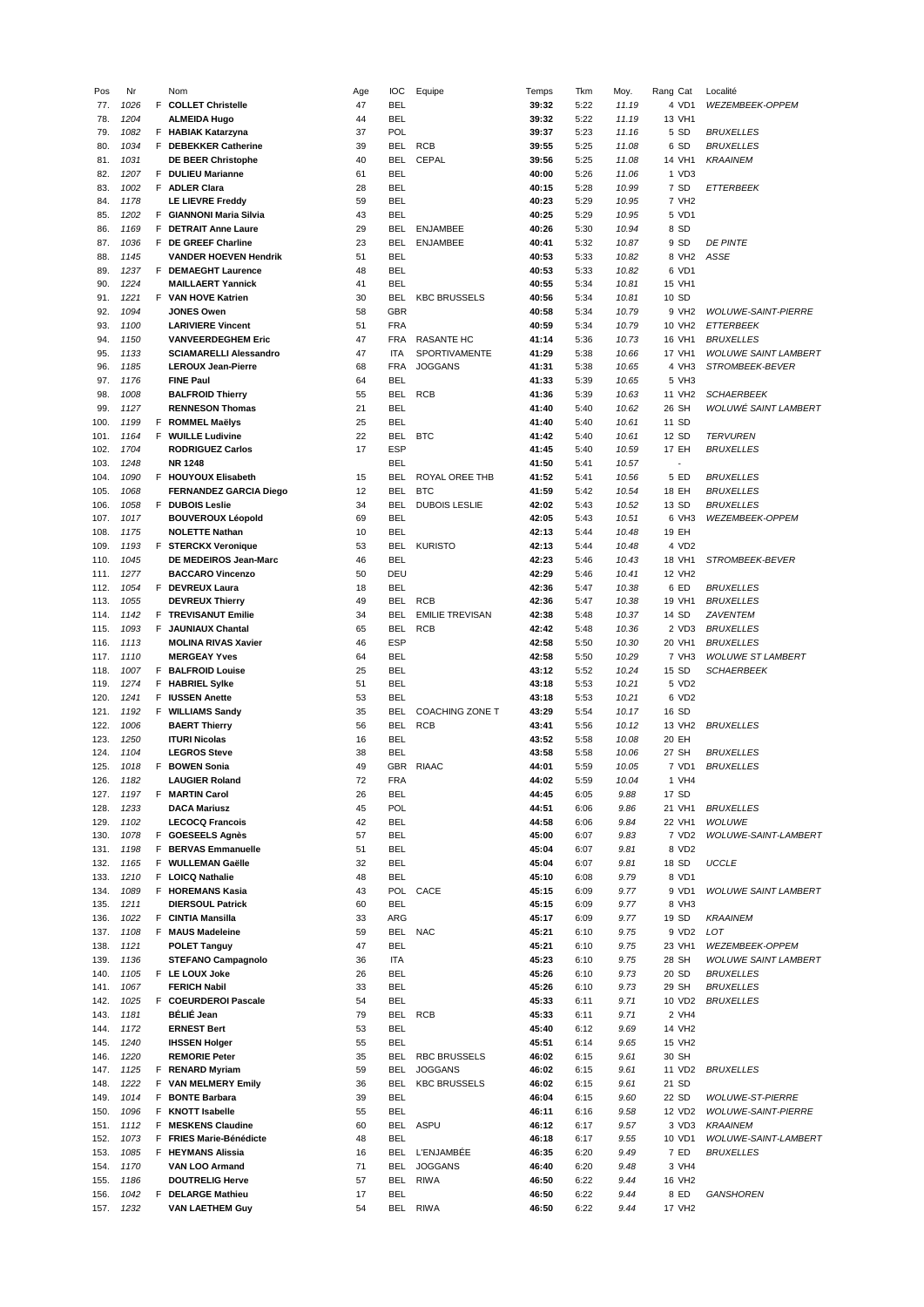| Pos          | Nr           |    | Nom                                         | Age      | ЮC         | Equipe                 | Temps          | Tkm          | Moy.         | Rang Cat             | Localité                    |
|--------------|--------------|----|---------------------------------------------|----------|------------|------------------------|----------------|--------------|--------------|----------------------|-----------------------------|
| 77.          | 1026         |    | F COLLET Christelle                         | 47       | BEL        |                        | 39:32          | 5:22         | 11.19        | 4 VD1                | WEZEMBEEK-OPPEM             |
| 78.          | 1204         |    | <b>ALMEIDA Hugo</b>                         | 44       | <b>BEL</b> |                        | 39:32          | 5:22         | 11.19        | 13 VH1               |                             |
| 79.          | 1082         |    | F HABIAK Katarzyna                          | 37       | POL        |                        | 39:37          | 5:23         | 11.16        | 5 SD                 | <b>BRUXELLES</b>            |
| 80.          | 1034         |    | F DEBEKKER Catherine                        | 39       | BEL        | <b>RCB</b>             | 39:55          | 5:25         | 11.08        | 6 SD                 | <b>BRUXELLES</b>            |
|              |              |    |                                             | 40       |            |                        | 39:56          |              |              |                      |                             |
| 81.          | 1031         |    | <b>DE BEER Christophe</b>                   |          | BEL        | CEPAL                  |                | 5:25         | 11.08        | 14 VH1               | <b>KRAAINEM</b>             |
| 82.          | 1207         |    | F DULIEU Marianne                           | 61       | <b>BEL</b> |                        | 40:00          | 5:26         | 11.06        | 1 VD3                |                             |
| 83.          | 1002         |    | F ADLER Clara                               | 28       | BEL        |                        | 40:15          | 5:28         | 10.99        | 7 SD                 | <b>ETTERBEEK</b>            |
| 84.          | 1178         |    | <b>LE LIEVRE Freddy</b>                     | 59       | <b>BEL</b> |                        | 40:23          | 5:29         | 10.95        | 7 VH <sub>2</sub>    |                             |
| 85.          | 1202         | F. | <b>GIANNONI Maria Silvia</b>                | 43       | BEL        |                        | 40:25          | 5:29         | 10.95        | 5 VD1                |                             |
| 86.          | 1169         |    | F DETRAIT Anne Laure                        | 29       | BEL        | <b>ENJAMBEE</b>        | 40:26          | 5:30         | 10.94        | 8 SD                 |                             |
| 87.          | 1036         |    | F DE GREEF Charline                         | 23       | BEL        | <b>ENJAMBEE</b>        | 40:41          | 5:32         | 10.87        | 9 SD                 | <b>DE PINTE</b>             |
| 88.          | 1145         |    | <b>VANDER HOEVEN Hendrik</b>                | 51       | <b>BEL</b> |                        | 40:53          | 5:33         | 10.82        | 8 VH2                | ASSE                        |
|              |              |    |                                             |          |            |                        |                |              |              |                      |                             |
| 89.          | 1237         |    | F DEMAEGHT Laurence                         | 48       | <b>BEL</b> |                        | 40:53          | 5:33         | 10.82        | 6 VD1                |                             |
| 90.          | 1224         |    | <b>MAILLAERT Yannick</b>                    | 41       | <b>BEL</b> |                        | 40:55          | 5:34         | 10.81        | 15 VH1               |                             |
| 91.          | 1221         |    | F VAN HOVE Katrien                          | 30       | BEL        | <b>KBC BRUSSELS</b>    | 40:56          | 5:34         | 10.81        | 10 SD                |                             |
| 92.          | 1094         |    | <b>JONES Owen</b>                           | 58       | GBR        |                        | 40:58          | 5:34         | 10.79        | 9 VH2                | <b>WOLUWE-SAINT-PIERRE</b>  |
| 93.          | 1100         |    | <b>LARIVIERE Vincent</b>                    | 51       | <b>FRA</b> |                        | 40:59          | 5:34         | 10.79        | 10 VH <sub>2</sub>   | ETTERBEEK                   |
| 94.          | 1150         |    | <b>VANVEERDEGHEM Eric</b>                   | 47       | <b>FRA</b> | RASANTE HC             | 41:14          | 5:36         | 10.73        | 16 VH1               | <b>BRUXELLES</b>            |
| 95.          | 1133         |    | <b>SCIAMARELLI Alessandro</b>               | 47       | ITA        | SPORTIVAMENTE          | 41:29          | 5:38         | 10.66        | 17 VH1               | <b>WOLUWE SAINT LAMBERT</b> |
|              |              |    |                                             | 68       |            |                        |                | 5:38         |              |                      |                             |
| 96.          | 1185         |    | <b>LEROUX Jean-Pierre</b>                   |          | FRA        | <b>JOGGANS</b>         | 41:31          |              | 10.65        | 4 VH3                | <b>STROMBEEK-BEVER</b>      |
| 97.          | 1176         |    | <b>FINE Paul</b>                            | 64       | <b>BEL</b> |                        | 41:33          | 5:39         | 10.65        | 5 VH3                |                             |
| 98.          | 1008         |    | <b>BALFROID Thierry</b>                     | 55       | BEL        | <b>RCB</b>             | 41:36          | 5:39         | 10.63        | 11 VH <sub>2</sub>   | <b>SCHAERBEEK</b>           |
| 99.          | 1127         |    | <b>RENNESON Thomas</b>                      | 21       | <b>BEL</b> |                        | 41:40          | 5:40         | 10.62        | 26 SH                | WOLUWÉ SAINT LAMBERT        |
| 100.         | 1199         |    | F ROMMEL Maëlys                             | 25       | BEL        |                        | 41:40          | 5:40         | 10.61        | 11 SD                |                             |
| 101.         | 1164         |    | F WUILLE Ludivine                           | 22       | BEL        | <b>BTC</b>             | 41:42          | 5:40         | 10.61        | 12 SD                | <b>TERVUREN</b>             |
| 102.         | 1704         |    | <b>RODRIGUEZ Carlos</b>                     | 17       | <b>ESP</b> |                        | 41:45          | 5:40         | 10.59        | 17 EH                | <b>BRUXELLES</b>            |
|              | 1248         |    | <b>NR 1248</b>                              |          | BEL        |                        | 41:50          | 5:41         | 10.57        | ÷,                   |                             |
| 103.         |              |    |                                             |          |            |                        |                |              |              |                      |                             |
| 104.         | 1090         |    | F HOUYOUX Elisabeth                         | 15       | <b>BEL</b> | ROYAL OREE THB         | 41:52          | 5:41         | 10.56        | 5 ED                 | <b>BRUXELLES</b>            |
| 105.         | 1068         |    | <b>FERNANDEZ GARCIA Diego</b>               | 12       | BEL        | <b>BTC</b>             | 41:59          | 5:42         | 10.54        | 18 EH                | <b>BRUXELLES</b>            |
| 106.         | 1058         |    | F DUBOIS Leslie                             | 34       | BEL        | <b>DUBOIS LESLIE</b>   | 42:02          | 5:43         | 10.52        | 13 SD                | <b>BRUXELLES</b>            |
| 107.         | 1017         |    | <b>BOUVEROUX Léopold</b>                    | 69       | BEL        |                        | 42:05          | 5:43         | 10.51        | 6 VH3                | WEZEMBEEK-OPPEM             |
| 108.         | 1175         |    | <b>NOLETTE Nathan</b>                       | 10       | <b>BEL</b> |                        | 42:13          | 5:44         | 10.48        | 19 EH                |                             |
| 109.         | 1193         |    | <b>F</b> STERCKX Veronique                  | 53       | BEL        | <b>KURISTO</b>         | 42:13          | 5:44         | 10.48        | 4 VD2                |                             |
| 110.         | 1045         |    | DE MEDEIROS Jean-Marc                       | 46       | <b>BEL</b> |                        | 42:23          | 5:46         | 10.43        | 18 VH1               | <b>STROMBEEK-BEVER</b>      |
|              |              |    |                                             |          |            |                        |                |              |              |                      |                             |
| 111.         | 1277         |    | <b>BACCARO Vincenzo</b>                     | 50       | DEU        |                        | 42:29          | 5:46         | 10.41        | 12 VH2               |                             |
| 112.         | 1054         |    | F DEVREUX Laura                             | 18       | <b>BEL</b> |                        | 42:36          | 5:47         | 10.38        | 6 ED                 | <b>BRUXELLES</b>            |
| 113.         | 1055         |    | <b>DEVREUX Thierry</b>                      | 49       | BEL        | <b>RCB</b>             | 42:36          | 5:47         | 10.38        | 19 VH1               | <b>BRUXELLES</b>            |
| 114.         | 1142         |    | F TREVISANUT Emilie                         | 34       | BEL        | <b>EMILIE TREVISAN</b> | 42:38          | 5:48         | 10.37        | 14 SD                | ZAVENTEM                    |
| 115.         | 1093         |    | <b>F</b> JAUNIAUX Chantal                   | 65       | BEL        | <b>RCB</b>             | 42:42          | 5:48         | 10.36        | 2 VD3                | <b>BRUXELLES</b>            |
| 116.         | 1113         |    | <b>MOLINA RIVAS Xavier</b>                  | 46       | <b>ESP</b> |                        | 42:58          | 5:50         | 10.30        | 20 VH1               | <b>BRUXELLES</b>            |
| 117.         | 1110         |    | <b>MERGEAY Yves</b>                         | 64       | <b>BEL</b> |                        | 42:58          | 5:50         | 10.29        | 7 VH3                | <b>WOLUWE ST LAMBERT</b>    |
|              | 1007         |    |                                             | 25       | BEL        |                        | 43:12          | 5:52         | 10.24        | 15 SD                | <i><b>SCHAERBEEK</b></i>    |
| 118.         |              |    | <b>F</b> BALFROID Louise                    |          |            |                        |                |              |              |                      |                             |
| 119.         | 1274         |    | <b>F</b> HABRIEL Sylke                      | 51       | BEL        |                        | 43:18          | 5:53         | 10.21        | 5 VD2                |                             |
| 120.         | 1241         |    | F IUSSEN Anette                             | 53       | BEL        |                        | 43:18          | 5:53         | 10.21        | 6 VD2                |                             |
| 121.         | 1192         |    | F WILLIAMS Sandy                            | 35       | BEL        | <b>COACHING ZONE T</b> | 43:29          | 5:54         | 10.17        | 16 SD                |                             |
| 122.         | 1006         |    | <b>BAERT Thierry</b>                        | 56       | BEL        | <b>RCB</b>             | 43:41          | 5:56         | 10.12        | 13 VH <sub>2</sub>   | <b>BRUXELLES</b>            |
| 123.         | 1250         |    | <b>ITURI Nicolas</b>                        | 16       | BEL        |                        | 43:52          | 5:58         | 10.08        | 20 EH                |                             |
| 124.         | 1104         |    | <b>LEGROS Steve</b>                         | 38       | BEL        |                        | 43:58          | 5:58         | 10.06        | 27 SH                | <b>BRUXELLES</b>            |
| 125.         | 1018         | F. | <b>BOWEN Sonia</b>                          | 49       | <b>GBR</b> | <b>RIAAC</b>           | 44:01          | 5:59         | 10.05        | 7 VD1                | <b>BRUXELLES</b>            |
|              |              |    |                                             |          |            |                        |                |              |              |                      |                             |
| 126.         | 1182         |    | <b>LAUGIER Roland</b>                       | 72       | <b>FRA</b> |                        | 44:02          | 5:59         | 10.04        | 1<br>VH <sub>4</sub> |                             |
| 127.         | 1197         |    | F MARTIN Carol                              | 26       | BEL        |                        | 44:45          | 6:05         | 9.88         | 17 SD                |                             |
| 128.         | 1233         |    | <b>DACA Mariusz</b>                         | 45       | POL        |                        | 44:51          | 6:06         | 9.86         | 21 VH1               | <b>BRUXELLES</b>            |
| 129.         | 1102         |    | <b>LECOCQ Francois</b>                      | 42       | <b>BEL</b> |                        | 44:58          | 6:06         | 9.84         | 22 VH1               | <b>WOLUWE</b>               |
| 130.         | 1078         |    | F GOESEELS Agnès                            | 57       | <b>BEL</b> |                        | 45:00          | 6:07         | 9.83         | 7 VD <sub>2</sub>    | <b>WOLUWE-SAINT-LAMBERT</b> |
| 131.         | 1198         |    | F BERVAS Emmanuelle                         | 51       | BEL        |                        | 45:04          | 6:07         | 9.81         | 8 VD2                |                             |
| 132.         | 1165         |    | F WULLEMAN Gaëlle                           | 32       | BEL        |                        | 45:04          | 6:07         | 9.81         | 18 SD                | <b>UCCLE</b>                |
| 133.         | 1210         | F. | <b>LOICQ Nathalie</b>                       | 48       | BEL        |                        | 45:10          | 6:08         | 9.79         | 8 VD1                |                             |
|              |              |    |                                             |          |            |                        |                |              |              |                      |                             |
| 134.         | 1089         |    | F HOREMANS Kasia                            | 43       |            | POL CACE               | 45:15          | 6:09         | 9.77         | 9 VD1                | <b>WOLUWE SAINT LAMBERT</b> |
| 135.         | 1211         |    | <b>DIERSOUL Patrick</b>                     | 60       | <b>BEL</b> |                        | 45:15          | 6:09         | 9.77         | 8 VH3                |                             |
| 136.         | 1022         |    | F CINTIA Mansilla                           | 33       | ARG        |                        | 45:17          | 6:09         | 9.77         | 19 SD                | <b>KRAAINEM</b>             |
| 137.         | 1108         |    | F MAUS Madeleine                            | 59       | BEL        | <b>NAC</b>             | 45:21          | 6:10         | 9.75         | 9 VD2                | LOT                         |
| 138.         | 1121         |    | <b>POLET Tanguy</b>                         | 47       | <b>BEL</b> |                        | 45:21          | 6:10         | 9.75         | 23 VH1               | <b>WEZEMBEEK-OPPEM</b>      |
| 139.         | 1136         |    | <b>STEFANO Campagnolo</b>                   | 36       | ITA        |                        | 45:23          | 6:10         | 9.75         | 28 SH                | <b>WOLUWE SAINT LAMBERT</b> |
| 140.         | 1105         |    | F LE LOUX Joke                              | 26       | <b>BEL</b> |                        | 45:26          | 6:10         | 9.73         | 20 SD                | <b>BRUXELLES</b>            |
| 141.         | 1067         |    | <b>FERICH Nabil</b>                         | 33       | <b>BEL</b> |                        | 45:26          | 6:10         | 9.73         | 29 SH                | <b>BRUXELLES</b>            |
|              |              |    |                                             |          |            |                        |                |              |              |                      |                             |
| 142.         | 1025         |    | F COEURDEROI Pascale                        | 54       | <b>BEL</b> |                        | 45:33          | 6:11         | 9.71         | 10 VD2               | <b>BRUXELLES</b>            |
| 143.         | 1181         |    | BÉLIÉ Jean                                  | 79       | BEL        | <b>RCB</b>             | 45:33          | 6:11         | 9.71         | 2 VH4                |                             |
| 144.         | 1172         |    | <b>ERNEST Bert</b>                          | 53       | <b>BEL</b> |                        | 45:40          | 6:12         | 9.69         | 14 VH2               |                             |
| 145.         | 1240         |    | <b>IHSSEN Holger</b>                        | 55       | BEL        |                        | 45:51          | 6:14         | 9.65         | 15 VH2               |                             |
| 146.         | 1220         |    | <b>REMORIE Peter</b>                        | 35       | BEL        | <b>RBC BRUSSELS</b>    | 46:02          | 6:15         | 9.61         | 30 SH                |                             |
| 147.         | 1125         |    | F RENARD Myriam                             | 59       | BEL        | <b>JOGGANS</b>         | 46:02          | 6:15         | 9.61         | 11 VD2               | <b>BRUXELLES</b>            |
|              | 1222         |    | F VAN MELMERY Emily                         | 36       | <b>BEL</b> | <b>KBC BRUSSELS</b>    | 46:02          | 6:15         | 9.61         | 21 SD                |                             |
| 148.         |              |    |                                             |          |            |                        |                |              |              |                      |                             |
| 149.         | 1014         |    | F BONTE Barbara                             | 39       | <b>BEL</b> |                        | 46:04          | 6:15         | 9.60         | 22 SD                | <b>WOLUWE-ST-PIERRE</b>     |
| 150.         | 1096         | F. | <b>KNOTT Isabelle</b>                       | 55       | <b>BEL</b> |                        | 46:11          | 6:16         | 9.58         | 12 VD2               | <b>WOLUWE-SAINT-PIERRE</b>  |
| 151.         | 1112         | F. | <b>MESKENS Claudine</b>                     | 60       | <b>BEL</b> | ASPU                   | 46:12          | 6:17         | 9.57         | 3 VD3                | <b>KRAAINEM</b>             |
| 152.         | 1073         | F. | <b>FRIES Marie-Bénédicte</b>                | 48       | <b>BEL</b> |                        | 46:18          | 6:17         | 9.55         | 10 VD1               | WOLUWE-SAINT-LAMBERT        |
| 153.         | 1085         |    | F HEYMANS Alissia                           | 16       | BEL        | <b>L'ENJAMBÉE</b>      | 46:35          | 6:20         | 9.49         | 7 ED                 | <b>BRUXELLES</b>            |
| 154.         | 1170         |    | <b>VAN LOO Armand</b>                       | 71       | <b>BEL</b> | <b>JOGGANS</b>         | 46:40          | 6:20         | 9.48         | 3 VH4                |                             |
|              |              |    |                                             |          |            |                        | 46:50          |              |              |                      |                             |
| 155.         |              |    | <b>DOUTRELIG Herve</b>                      | 57       | BEL        | <b>RIWA</b>            |                | 6:22         | 9.44         | 16 VH2               |                             |
|              | 1186         |    |                                             |          |            |                        |                |              |              |                      |                             |
| 156.<br>157. | 1042<br>1232 |    | F DELARGE Mathieu<br><b>VAN LAETHEM Guy</b> | 17<br>54 | BEL        | BEL RIWA               | 46:50<br>46:50 | 6:22<br>6:22 | 9.44<br>9.44 | 8 ED<br>17 VH2       | GANSHOREN                   |